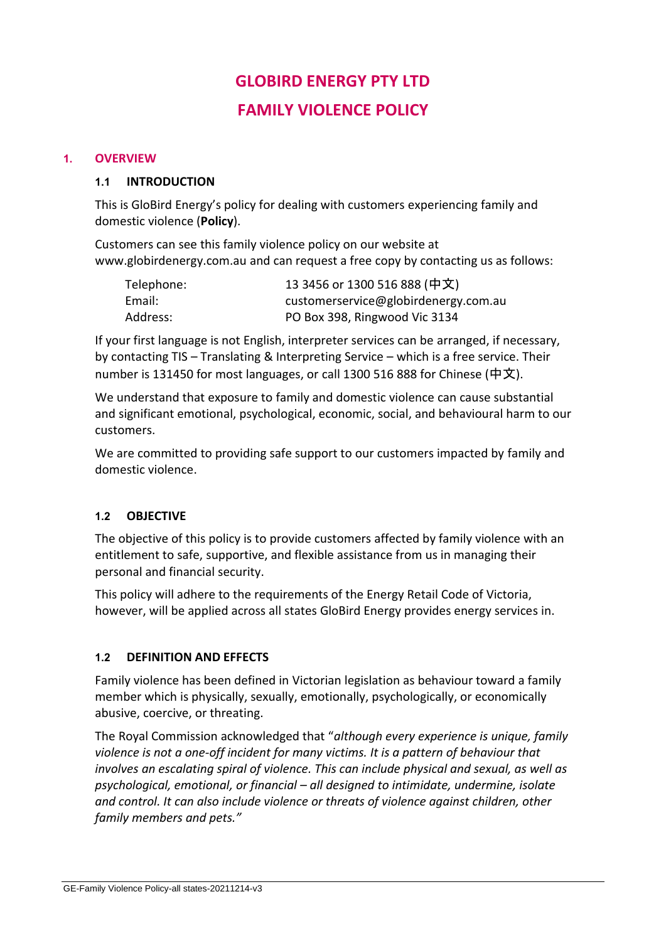# **GLOBIRD ENERGY PTY LTD FAMILY VIOLENCE POLICY**

#### **1. OVERVIEW**

#### **1.1 INTRODUCTION**

This is GloBird Energy's policy for dealing with customers experiencing family and domestic violence (**Policy**).

Customers can see this family violence policy on our website at [www.globirdenergy.com.au](http://www.globirdenergy.com.au/) and can request a free copy by contacting us as follows:

| Telephone: | 13 3456 or 1300 516 888 (中文)         |
|------------|--------------------------------------|
| Email:     | customerservice@globirdenergy.com.au |
| Address:   | PO Box 398, Ringwood Vic 3134        |

If your first language is not English, interpreter services can be arranged, if necessary, by contacting TIS – Translating & Interpreting Service – which is a free service. Their number is 131450 for most languages, or call 1300 516 888 for Chinese (中文).

We understand that exposure to family and domestic violence can cause substantial and significant emotional, psychological, economic, social, and behavioural harm to our customers.

We are committed to providing safe support to our customers impacted by family and domestic violence.

#### **1.2 OBJECTIVE**

The objective of this policy is to provide customers affected by family violence with an entitlement to safe, supportive, and flexible assistance from us in managing their personal and financial security.

This policy will adhere to the requirements of the Energy Retail Code of Victoria, however, will be applied across all states GloBird Energy provides energy services in.

#### **1.2 DEFINITION AND EFFECTS**

Family violence has been defined in Victorian legislation as behaviour toward a family member which is physically, sexually, emotionally, psychologically, or economically abusive, coercive, or threating.

The Royal Commission acknowledged that "*although every experience is unique, family violence is not a one-off incident for many victims. It is a pattern of behaviour that involves an escalating spiral of violence. This can include physical and sexual, as well as psychological, emotional, or financial – all designed to intimidate, undermine, isolate and control. It can also include violence or threats of violence against children, other family members and pets."*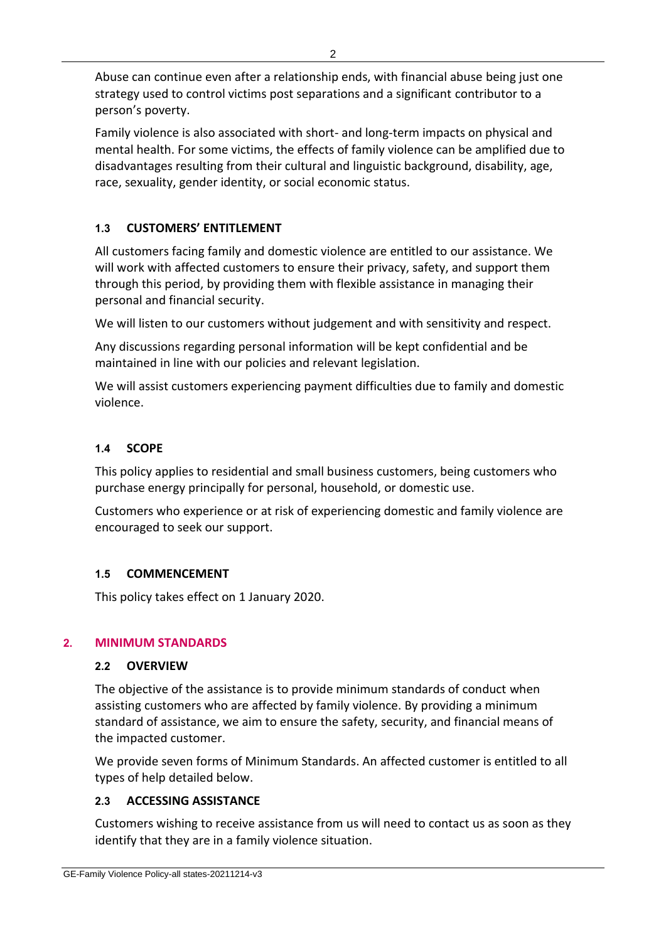Abuse can continue even after a relationship ends, with financial abuse being just one strategy used to control victims post separations and a significant contributor to a person's poverty.

Family violence is also associated with short- and long-term impacts on physical and mental health. For some victims, the effects of family violence can be amplified due to disadvantages resulting from their cultural and linguistic background, disability, age, race, sexuality, gender identity, or social economic status.

# **1.3 CUSTOMERS' ENTITLEMENT**

All customers facing family and domestic violence are entitled to our assistance. We will work with affected customers to ensure their privacy, safety, and support them through this period, by providing them with flexible assistance in managing their personal and financial security.

We will listen to our customers without judgement and with sensitivity and respect.

Any discussions regarding personal information will be kept confidential and be maintained in line with our policies and relevant legislation.

We will assist customers experiencing payment difficulties due to family and domestic violence.

# **1.4 SCOPE**

This policy applies to residential and small business customers, being customers who purchase energy principally for personal, household, or domestic use.

Customers who experience or at risk of experiencing domestic and family violence are encouraged to seek our support.

#### **1.5 COMMENCEMENT**

This policy takes effect on 1 January 2020.

# **2. MINIMUM STANDARDS**

#### **2.2 OVERVIEW**

The objective of the assistance is to provide minimum standards of conduct when assisting customers who are affected by family violence. By providing a minimum standard of assistance, we aim to ensure the safety, security, and financial means of the impacted customer.

We provide seven forms of Minimum Standards. An affected customer is entitled to all types of help detailed below.

# **2.3 ACCESSING ASSISTANCE**

Customers wishing to receive assistance from us will need to contact us as soon as they identify that they are in a family violence situation.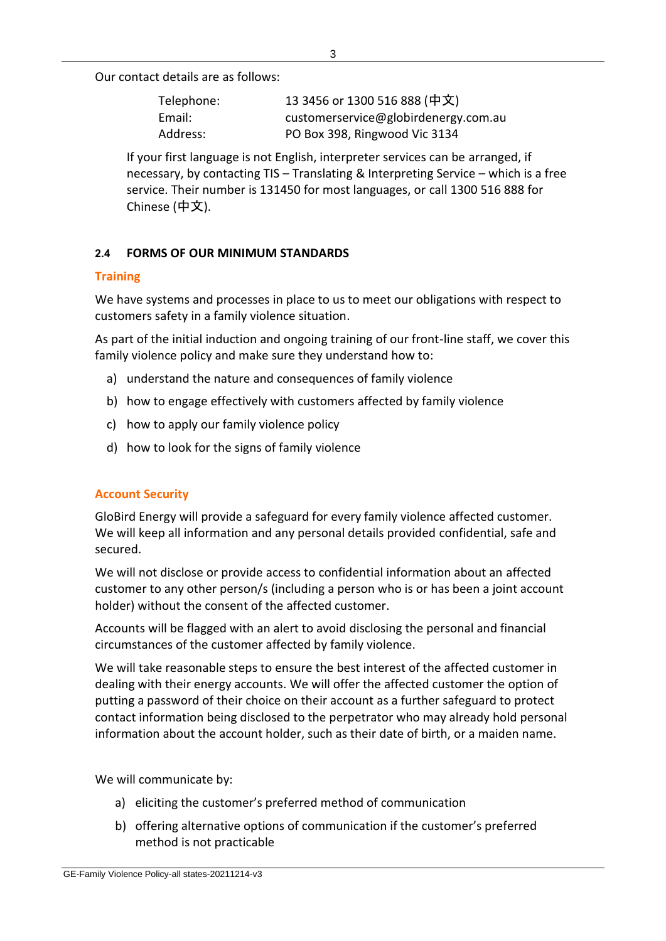Our contact details are as follows:

| Telephone: | 13 3456 or 1300 516 888 (中文)         |
|------------|--------------------------------------|
| Email:     | customerservice@globirdenergy.com.au |
| Address:   | PO Box 398, Ringwood Vic 3134        |

If your first language is not English, interpreter services can be arranged, if necessary, by contacting TIS – Translating & Interpreting Service – which is a free service. Their number is 131450 for most languages, or call 1300 516 888 for Chinese (中文).

# **2.4 FORMS OF OUR MINIMUM STANDARDS**

# **Training**

We have systems and processes in place to us to meet our obligations with respect to customers safety in a family violence situation.

As part of the initial induction and ongoing training of our front-line staff, we cover this family violence policy and make sure they understand how to:

- a) understand the nature and consequences of family violence
- b) how to engage effectively with customers affected by family violence
- c) how to apply our family violence policy
- d) how to look for the signs of family violence

# **Account Security**

GloBird Energy will provide a safeguard for every family violence affected customer. We will keep all information and any personal details provided confidential, safe and secured.

We will not disclose or provide access to confidential information about an affected customer to any other person/s (including a person who is or has been a joint account holder) without the consent of the affected customer.

Accounts will be flagged with an alert to avoid disclosing the personal and financial circumstances of the customer affected by family violence.

We will take reasonable steps to ensure the best interest of the affected customer in dealing with their energy accounts. We will offer the affected customer the option of putting a password of their choice on their account as a further safeguard to protect contact information being disclosed to the perpetrator who may already hold personal information about the account holder, such as their date of birth, or a maiden name.

We will communicate by:

- a) eliciting the customer's preferred method of communication
- b) offering alternative options of communication if the customer's preferred method is not practicable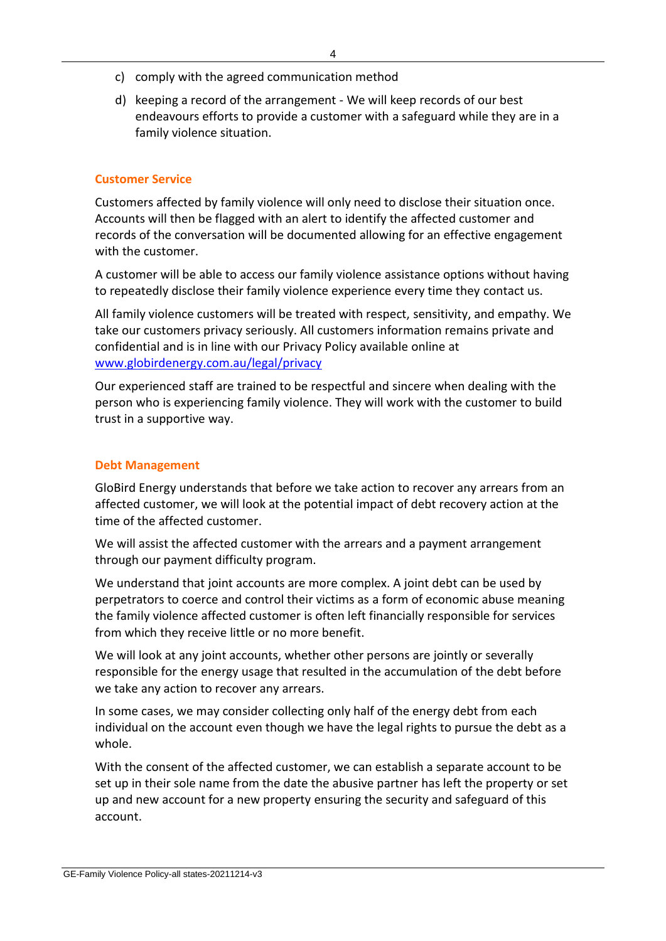- c) comply with the agreed communication method
- d) keeping a record of the arrangement We will keep records of our best endeavours efforts to provide a customer with a safeguard while they are in a family violence situation.

#### **Customer Service**

Customers affected by family violence will only need to disclose their situation once. Accounts will then be flagged with an alert to identify the affected customer and records of the conversation will be documented allowing for an effective engagement with the customer.

A customer will be able to access our family violence assistance options without having to repeatedly disclose their family violence experience every time they contact us.

All family violence customers will be treated with respect, sensitivity, and empathy. We take our customers privacy seriously. All customers information remains private and confidential and is in line with our Privacy Policy available online at [www.globirdenergy.com.au/legal/privacy](http://www.globirdenergy.com.au/legal/privacy)

Our experienced staff are trained to be respectful and sincere when dealing with the person who is experiencing family violence. They will work with the customer to build trust in a supportive way.

#### **Debt Management**

GloBird Energy understands that before we take action to recover any arrears from an affected customer, we will look at the potential impact of debt recovery action at the time of the affected customer.

We will assist the affected customer with the arrears and a payment arrangement through our payment difficulty program.

We understand that joint accounts are more complex. A joint debt can be used by perpetrators to coerce and control their victims as a form of economic abuse meaning the family violence affected customer is often left financially responsible for services from which they receive little or no more benefit.

We will look at any joint accounts, whether other persons are jointly or severally responsible for the energy usage that resulted in the accumulation of the debt before we take any action to recover any arrears.

In some cases, we may consider collecting only half of the energy debt from each individual on the account even though we have the legal rights to pursue the debt as a whole.

With the consent of the affected customer, we can establish a separate account to be set up in their sole name from the date the abusive partner has left the property or set up and new account for a new property ensuring the security and safeguard of this account.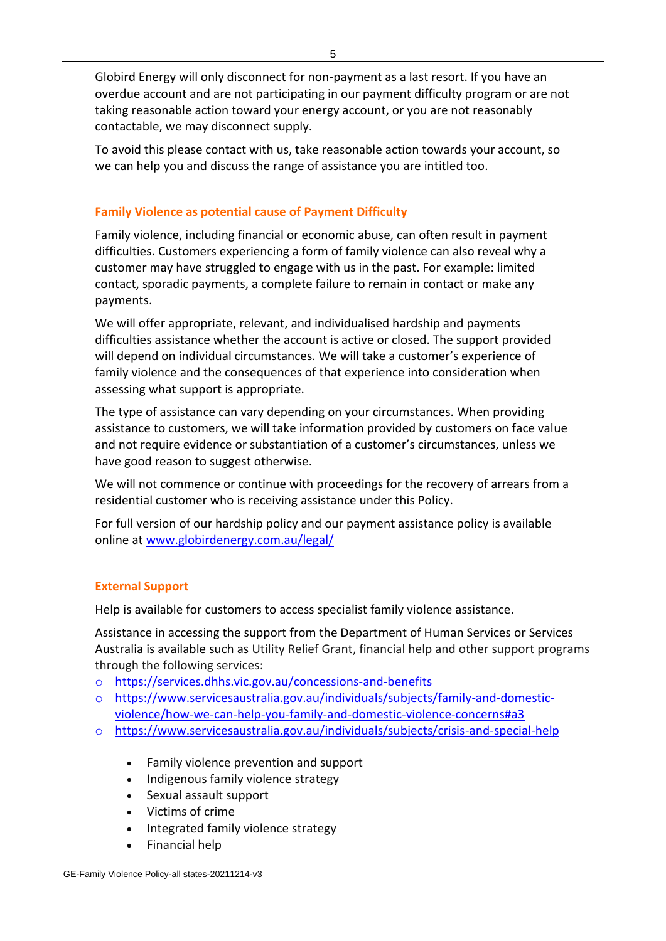Globird Energy will only disconnect for non-payment as a last resort. If you have an overdue account and are not participating in our payment difficulty program or are not taking reasonable action toward your energy account, or you are not reasonably contactable, we may disconnect supply.

To avoid this please contact with us, take reasonable action towards your account, so we can help you and discuss the range of assistance you are intitled too.

### **Family Violence as potential cause of Payment Difficulty**

Family violence, including financial or economic abuse, can often result in payment difficulties. Customers experiencing a form of family violence can also reveal why a customer may have struggled to engage with us in the past. For example: limited contact, sporadic payments, a complete failure to remain in contact or make any payments.

We will offer appropriate, relevant, and individualised hardship and payments difficulties assistance whether the account is active or closed. The support provided will depend on individual circumstances. We will take a customer's experience of family violence and the consequences of that experience into consideration when assessing what support is appropriate.

The type of assistance can vary depending on your circumstances. When providing assistance to customers, we will take information provided by customers on face value and not require evidence or substantiation of a customer's circumstances, unless we have good reason to suggest otherwise.

We will not commence or continue with proceedings for the recovery of arrears from a residential customer who is receiving assistance under this Policy.

For full version of our hardship policy and our payment assistance policy is available online at [www.globirdenergy.com.au/legal/](https://www.globirdenergy.com.au/legal/)

# **External Support**

Help is available for customers to access specialist family violence assistance.

Assistance in accessing the support from the Department of Human Services or Services Australia is available such as Utility Relief Grant, financial help and other support programs through the following services:

- o <https://services.dhhs.vic.gov.au/concessions-and-benefits>
- o [https://www.servicesaustralia.gov.au/individuals/subjects/family-and-domestic](https://www.servicesaustralia.gov.au/individuals/subjects/family-and-domestic-violence/how-we-can-help-you-family-and-domestic-violence-concerns#a3)[violence/how-we-can-help-you-family-and-domestic-violence-concerns#a3](https://www.servicesaustralia.gov.au/individuals/subjects/family-and-domestic-violence/how-we-can-help-you-family-and-domestic-violence-concerns#a3)
- o https://www.servicesaustralia.gov.au/individuals/subjects/crisis-and-special-help
	- Family violence prevention and support
	- Indigenous family violence strategy
	- Sexual assault support
	- Victims of crime
	- Integrated family violence strategy
	- Financial help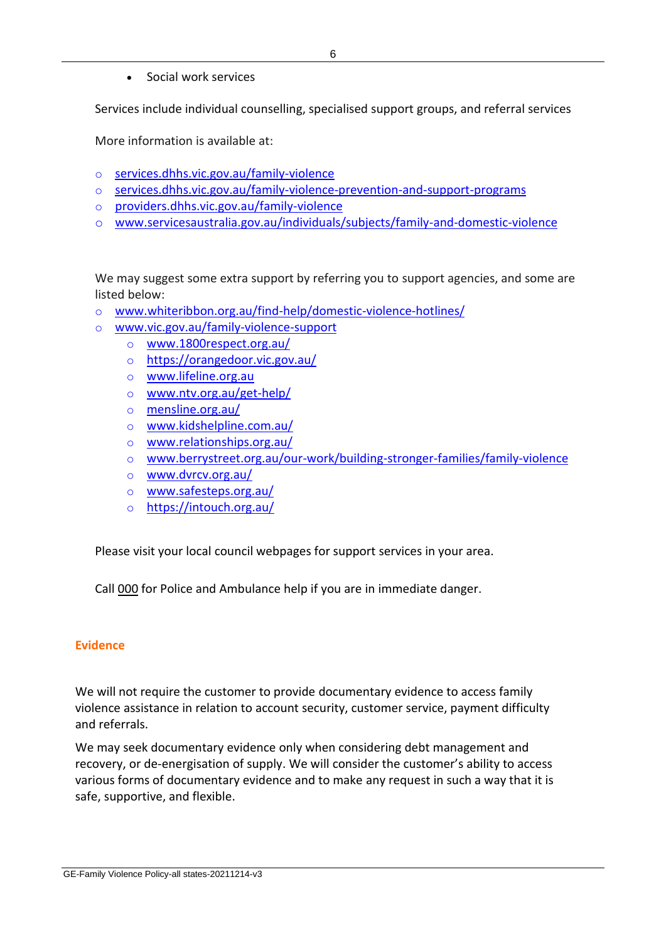• Social work services

Services include individual counselling, specialised support groups, and referral services

More information is available at:

- o [services.dhhs.vic.gov.au/family-violence](https://services.dhhs.vic.gov.au/family-violence)
- o [services.dhhs.vic.gov.au/family-violence-prevention-and-support-programs](https://services.dhhs.vic.gov.au/family-violence-prevention-and-support-programs)
- o [providers.dhhs.vic.gov.au/family-violence](https://providers.dhhs.vic.gov.au/family-violence)
- o www.servicesaustralia.gov.au/individuals/subjects/family-and-domestic-violence

We may suggest some extra support by referring you to support agencies, and some are listed below:

- o [www.whiteribbon.org.au/find-help/domestic-violence-hotlines/](http://www.whiteribbon.org.au/find-help/domestic-violence-hotlines/)
- o [www.vic.gov.au/family-violence-support](http://www.vic.gov.au/family-violence-support)
	- o [www.1800respect.org.au/](https://www.1800respect.org.au/)
		- o <https://orangedoor.vic.gov.au/>
		- o [www.lifeline.org.au](http://www.lifeline.org.au/)
		- o [www.ntv.org.au/get-help/](http://www.ntv.org.au/get-help/)
		- o [mensline.org.au/](https://mensline.org.au/)
		- o [www.kidshelpline.com.au/](http://www.kidshelpline.com.au/)
		- o [www.relationships.org.au/](http://www.relationships.org.au/)
		- o [www.berrystreet.org.au/our-work/building-stronger-families/family-violence](http://www.berrystreet.org.au/our-work/building-stronger-families/family-violence)
		- o [www.dvrcv.org.au/](http://www.dvrcv.org.au/)
		- o [www.safesteps.org.au/](http://www.safesteps.org.au/)
		- o <https://intouch.org.au/>

Please visit your local council webpages for support services in your area.

Call [000](tel://000/) for Police and Ambulance help if you are in immediate danger.

#### **Evidence**

We will not require the customer to provide documentary evidence to access family violence assistance in relation to account security, customer service, payment difficulty and referrals.

We may seek documentary evidence only when considering debt management and recovery, or de-energisation of supply. We will consider the customer's ability to access various forms of documentary evidence and to make any request in such a way that it is safe, supportive, and flexible.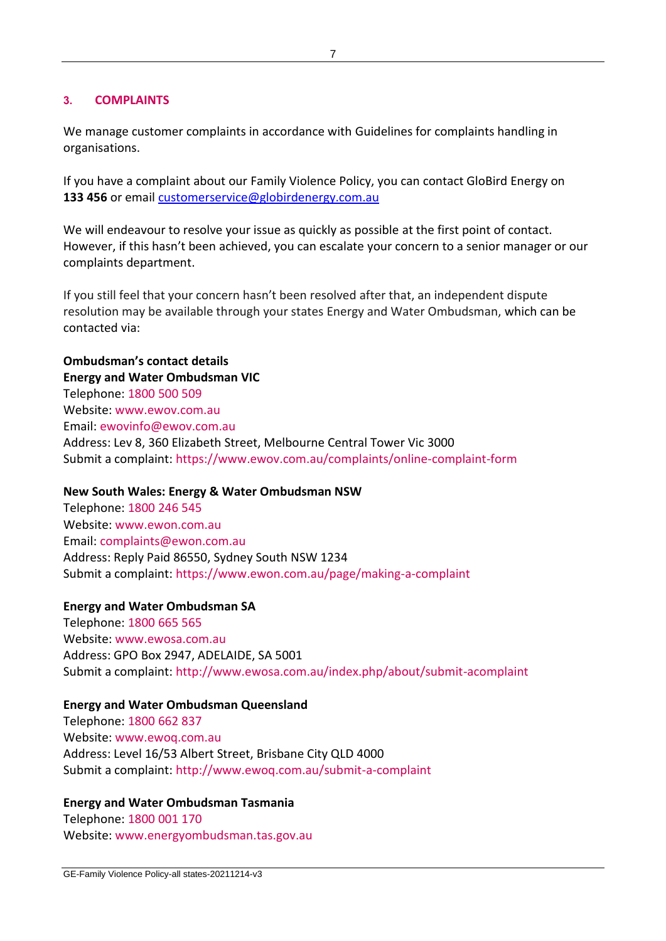#### **3. COMPLAINTS**

We manage customer complaints in accordance with Guidelines for complaints handling in organisations.

If you have a complaint about our Family Violence Policy, you can contact GloBird Energy on **133 456** or email [customerservice@globirdenergy.com.au](mailto:customerservice@globirdenergy.com.au)

We will endeavour to resolve your issue as quickly as possible at the first point of contact. However, if this hasn't been achieved, you can escalate your concern to a senior manager or our complaints department.

If you still feel that your concern hasn't been resolved after that, an independent dispute resolution may be available through your states Energy and Water Ombudsman, which can be contacted via:

**Ombudsman's contact details Energy and Water Ombudsman VIC** Telephone: [1800 500 509](tel:1800%20500%20509) Website: [www.ewov.com.au](http://www.ewov.com.au/) Email: [ewovinfo@ewov.com.au](mailto:ewovinfo@ewov.com.au) Address: Lev 8, 360 Elizabeth Street, Melbourne Central Tower Vic 3000 Submit a complaint: <https://www.ewov.com.au/complaints/online-complaint-form>

#### **New South Wales: Energy & Water Ombudsman NSW**

Telephone: [1800 246 545](tel:1800%20246%20545) Website: [www.ewon.com.au](http://www.ewon.com.au/) Email: [complaints@ewon.com.au](mailto:complaints@ewon.com.au) Address: Reply Paid 86550, Sydney South NSW 1234 Submit a complaint: <https://www.ewon.com.au/page/making-a-complaint>

#### **Energy and Water Ombudsman SA**

Telephone: [1800 665 565](tel:1800%20665%20565) Website: [www.ewosa.com.au](http://www.ewosa.com.au/) Address: GPO Box 2947, ADELAIDE, SA 5001 Submit a complaint: <http://www.ewosa.com.au/index.php/about/submit-acomplaint>

#### **Energy and Water Ombudsman Queensland**

Telephone: [1800 662 837](tel:1800%20662%20837) Website: [www.ewoq.com.au](http://www.ewoq.com.au/) Address: Level 16/53 Albert Street, Brisbane City QLD 4000 Submit a complaint: <http://www.ewoq.com.au/submit-a-complaint>

#### **Energy and Water Ombudsman Tasmania**

Telephone: [1800 001 170](tel:1800%20001%20170) Website: [www.energyombudsman.tas.gov.au](http://www.energyombudsman.tas.gov.au/)